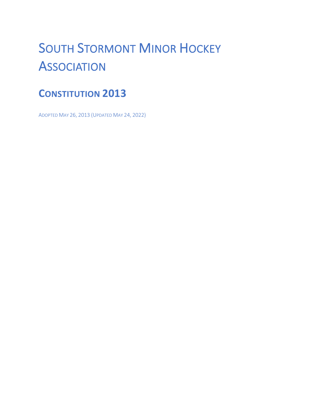# **SOUTH STORMONT MINOR HOCKEY ASSOCIATION**

# **CONSTITUTION 2013**

ADOPTED MAY 26, 2013 (UPDATED MAY 24, 2022)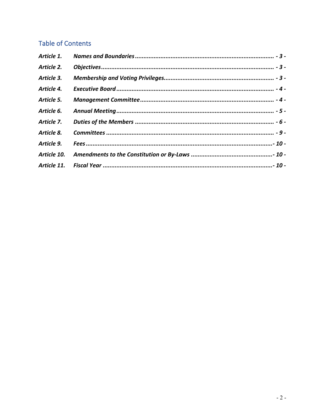# **Table of Contents**

| Article 1.  |  |
|-------------|--|
| Article 2.  |  |
| Article 3.  |  |
| Article 4.  |  |
| Article 5.  |  |
| Article 6.  |  |
| Article 7.  |  |
| Article 8.  |  |
| Article 9.  |  |
| Article 10. |  |
|             |  |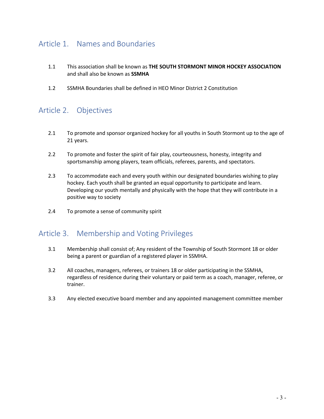# Article 1. Names and Boundaries

- 1.1 This association shall be known as **THE SOUTH STORMONT MINOR HOCKEY ASSOCIATION**  and shall also be known as **SSMHA**
- 1.2 SSMHA Boundaries shall be defined in HEO Minor District 2 Constitution

# Article 2. Objectives

- 2.1 To promote and sponsor organized hockey for all youths in South Stormont up to the age of 21 years.
- 2.2 To promote and foster the spirit of fair play, courteousness, honesty, integrity and sportsmanship among players, team officials, referees, parents, and spectators.
- 2.3 To accommodate each and every youth within our designated boundaries wishing to play hockey. Each youth shall be granted an equal opportunity to participate and learn. Developing our youth mentally and physically with the hope that they will contribute in a positive way to society
- 2.4 To promote a sense of community spirit

### Article 3. Membership and Voting Privileges

- 3.1 Membership shall consist of; Any resident of the Township of South Stormont 18 or older being a parent or guardian of a registered player in SSMHA.
- 3.2 All coaches, managers, referees, or trainers 18 or older participating in the SSMHA, regardless of residence during their voluntary or paid term as a coach, manager, referee, or trainer.
- 3.3 Any elected executive board member and any appointed management committee member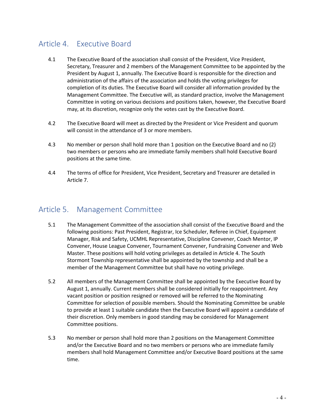# Article 4. Executive Board

- 4.1 The Executive Board of the association shall consist of the President, Vice President, Secretary, Treasurer and 2 members of the Management Committee to be appointed by the President by August 1, annually. The Executive Board is responsible for the direction and administration of the affairs of the association and holds the voting privileges for completion of its duties. The Executive Board will consider all information provided by the Management Committee. The Executive will, as standard practice, involve the Management Committee in voting on various decisions and positions taken, however, the Executive Board may, at its discretion, recognize only the votes cast by the Executive Board.
- 4.2 The Executive Board will meet as directed by the President or Vice President and quorum will consist in the attendance of 3 or more members.
- 4.3 No member or person shall hold more than 1 position on the Executive Board and no (2) two members or persons who are immediate family members shall hold Executive Board positions at the same time.
- 4.4 The terms of office for President, Vice President, Secretary and Treasurer are detailed in Article 7.

## Article 5. Management Committee

- 5.1 The Management Committee of the association shall consist of the Executive Board and the following positions: Past President, Registrar, Ice Scheduler, Referee in Chief, Equipment Manager, Risk and Safety, UCMHL Representative, Discipline Convener, Coach Mentor, IP Convener, House League Convener, Tournament Convener, Fundraising Convener and Web Master. These positions will hold voting privileges as detailed in Article 4. The South Stormont Township representative shall be appointed by the township and shall be a member of the Management Committee but shall have no voting privilege.
- 5.2 All members of the Management Committee shall be appointed by the Executive Board by August 1, annually. Current members shall be considered initially for reappointment. Any vacant position or position resigned or removed will be referred to the Nominating Committee for selection of possible members. Should the Nominating Committee be unable to provide at least 1 suitable candidate then the Executive Board will appoint a candidate of their discretion. Only members in good standing may be considered for Management Committee positions.
- 5.3 No member or person shall hold more than 2 positions on the Management Committee and/or the Executive Board and no two members or persons who are immediate family members shall hold Management Committee and/or Executive Board positions at the same time.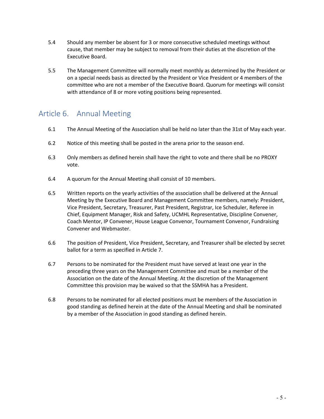- 5.4 Should any member be absent for 3 or more consecutive scheduled meetings without cause, that member may be subject to removal from their duties at the discretion of the Executive Board.
- 5.5 The Management Committee will normally meet monthly as determined by the President or on a special needs basis as directed by the President or Vice President or 4 members of the committee who are not a member of the Executive Board. Quorum for meetings will consist with attendance of 8 or more voting positions being represented.

### Article 6. Annual Meeting

- 6.1 The Annual Meeting of the Association shall be held no later than the 31st of May each year.
- 6.2 Notice of this meeting shall be posted in the arena prior to the season end.
- 6.3 Only members as defined herein shall have the right to vote and there shall be no PROXY vote.
- 6.4 A quorum for the Annual Meeting shall consist of 10 members.
- 6.5 Written reports on the yearly activities of the association shall be delivered at the Annual Meeting by the Executive Board and Management Committee members, namely: President, Vice President, Secretary, Treasurer, Past President, Registrar, Ice Scheduler, Referee in Chief, Equipment Manager, Risk and Safety, UCMHL Representative, Discipline Convener, Coach Mentor, IP Convener, House League Convenor, Tournament Convenor, Fundraising Convener and Webmaster.
- 6.6 The position of President, Vice President, Secretary, and Treasurer shall be elected by secret ballot for a term as specified in Article 7.
- 6.7 Persons to be nominated for the President must have served at least one year in the preceding three years on the Management Committee and must be a member of the Association on the date of the Annual Meeting. At the discretion of the Management Committee this provision may be waived so that the SSMHA has a President.
- 6.8 Persons to be nominated for all elected positions must be members of the Association in good standing as defined herein at the date of the Annual Meeting and shall be nominated by a member of the Association in good standing as defined herein.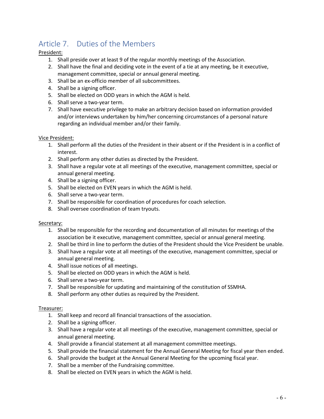# Article 7. Duties of the Members

#### President:

- 1. Shall preside over at least 9 of the regular monthly meetings of the Association.
- 2. Shall have the final and deciding vote in the event of a tie at any meeting, be it executive, management committee, special or annual general meeting.
- 3. Shall be an ex-officio member of all subcommittees.
- 4. Shall be a signing officer.
- 5. Shall be elected on ODD years in which the AGM is held.
- 6. Shall serve a two-year term.
- 7. Shall have executive privilege to make an arbitrary decision based on information provided and/or interviews undertaken by him/her concerning circumstances of a personal nature regarding an individual member and/or their family.

#### Vice President:

- 1. Shall perform all the duties of the President in their absent or if the President is in a conflict of interest.
- 2. Shall perform any other duties as directed by the President.
- 3. Shall have a regular vote at all meetings of the executive, management committee, special or annual general meeting.
- 4. Shall be a signing officer.
- 5. Shall be elected on EVEN years in which the AGM is held.
- 6. Shall serve a two-year term.
- 7. Shall be responsible for coordination of procedures for coach selection.
- 8. Shall oversee coordination of team tryouts.

#### Secretary:

- 1. Shall be responsible for the recording and documentation of all minutes for meetings of the association be it executive, management committee, special or annual general meeting.
- 2. Shall be third in line to perform the duties of the President should the Vice President be unable.
- 3. Shall have a regular vote at all meetings of the executive, management committee, special or annual general meeting.
- 4. Shall issue notices of all meetings.
- 5. Shall be elected on ODD years in which the AGM is held.
- 6. Shall serve a two-year term.
- 7. Shall be responsible for updating and maintaining of the constitution of SSMHA.
- 8. Shall perform any other duties as required by the President.

#### Treasurer:

- 1. Shall keep and record all financial transactions of the association.
- 2. Shall be a signing officer.
- 3. Shall have a regular vote at all meetings of the executive, management committee, special or annual general meeting.
- 4. Shall provide a financial statement at all management committee meetings.
- 5. Shall provide the financial statement for the Annual General Meeting for fiscal year then ended.
- 6. Shall provide the budget at the Annual General Meeting for the upcoming fiscal year.
- 7. Shall be a member of the Fundraising committee.
- 8. Shall be elected on EVEN years in which the AGM is held.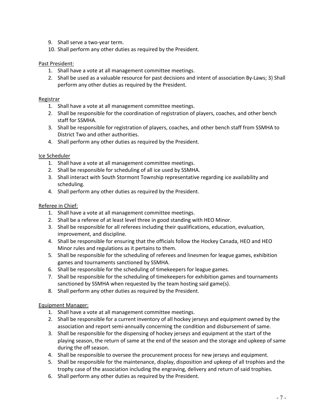- 9. Shall serve a two-year term.
- 10. Shall perform any other duties as required by the President.

#### Past President:

- 1. Shall have a vote at all management committee meetings.
- 2. Shall be used as a valuable resource for past decisions and intent of association By-Laws; 3) Shall perform any other duties as required by the President.

#### Registrar

- 1. Shall have a vote at all management committee meetings.
- 2. Shall be responsible for the coordination of registration of players, coaches, and other bench staff for SSMHA.
- 3. Shall be responsible for registration of players, coaches, and other bench staff from SSMHA to District Two and other authorities.
- 4. Shall perform any other duties as required by the President.

#### Ice Scheduler

- 1. Shall have a vote at all management committee meetings.
- 2. Shall be responsible for scheduling of all ice used by SSMHA.
- 3. Shall interact with South Stormont Township representative regarding ice availability and scheduling.
- 4. Shall perform any other duties as required by the President.

#### Referee in Chief:

- 1. Shall have a vote at all management committee meetings.
- 2. Shall be a referee of at least level three in good standing with HEO Minor.
- 3. Shall be responsible for all referees including their qualifications, education, evaluation, improvement, and discipline.
- 4. Shall be responsible for ensuring that the officials follow the Hockey Canada, HEO and HEO Minor rules and regulations as it pertains to them.
- 5. Shall be responsible for the scheduling of referees and linesmen for league games, exhibition games and tournaments sanctioned by SSMHA.
- 6. Shall be responsible for the scheduling of timekeepers for league games.
- 7. Shall be responsible for the scheduling of timekeepers for exhibition games and tournaments sanctioned by SSMHA when requested by the team hosting said game(s).
- 8. Shall perform any other duties as required by the President.

#### Equipment Manager:

- 1. Shall have a vote at all management committee meetings.
- 2. Shall be responsible for a current inventory of all hockey jerseys and equipment owned by the association and report semi-annually concerning the condition and disbursement of same.
- 3. Shall be responsible for the dispensing of hockey jerseys and equipment at the start of the playing season, the return of same at the end of the season and the storage and upkeep of same during the off season.
- 4. Shall be responsible to oversee the procurement process for new jerseys and equipment.
- 5. Shall be responsible for the maintenance, display, disposition and upkeep of all trophies and the trophy case of the association including the engraving, delivery and return of said trophies.
- 6. Shall perform any other duties as required by the President.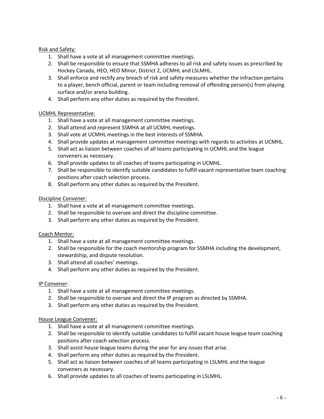#### Risk and Safety:

- 1. Shall have a vote at all management committee meetings.
- 2. Shall be responsible to ensure that SSMHA adheres to all risk and safety issues as prescribed by Hockey Canada, HEO, HEO Minor, District 2, UCMHL and LSLMHL.
- 3. Shall enforce and rectify any breach of risk and safety measures whether the infraction pertains to a player, bench official, parent or team including removal of offending person(s) from playing surface and/or arena building.
- 4. Shall perform any other duties as required by the President.

#### UCMHL Representative:

- 1. Shall have a vote at all management committee meetings.
- 2. Shall attend and represent SSMHA at all UCMHL meetings.
- 3. Shall vote at UCMHL meetings in the best interests of SSMHA.
- 4. Shall provide updates at management committee meetings with regards to activities at UCMHL.
- 5. Shall act as liaison between coaches of all teams participating in UCMHL and the league conveners as necessary.
- 6. Shall provide updates to all coaches of teams participating in UCMHL.
- 7. Shall be responsible to identify suitable candidates to fulfill vacant representative team coaching positions after coach selection process.
- 8. Shall perform any other duties as required by the President.

#### Discipline Convener:

- 1. Shall have a vote at all management committee meetings.
- 2. Shall be responsible to oversee and direct the discipline committee.
- 3. Shall perform any other duties as required by the President.

#### Coach Mentor:

- 1. Shall have a vote at all management committee meetings.
- 2. Shall be responsible for the coach mentorship program for SSMHA including the development, stewardship, and dispute resolution.
- 3. Shall attend all coaches' meetings.
- 4. Shall perform any other duties as required by the President.

#### IP Convener:

- 1. Shall have a vote at all management committee meetings.
- 2. Shall be responsible to oversee and direct the IP program as directed by SSMHA.
- 3. Shall perform any other duties as required by the President.

#### House League Convener:

- 1. Shall have a vote at all management committee meetings.
- 2. Shall be responsible to identify suitable candidates to fulfill vacant house league team coaching positions after coach selection process.
- 3. Shall assist house league teams during the year for any issues that arise.
- 4. Shall perform any other duties as required by the President.
- 5. Shall act as liaison between coaches of all teams participating in LSLMHL and the league conveners as necessary.
- 6. Shall provide updates to all coaches of teams participating in LSLMHL.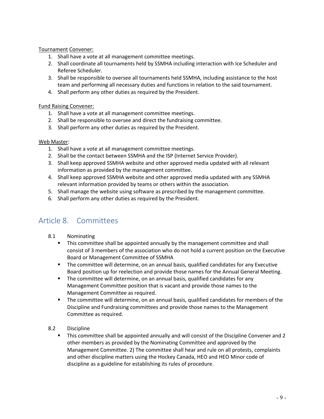Tournament Convener:

- 1. Shall have a vote at all management committee meetings.
- 2. Shall coordinate all tournaments held by SSMHA including interaction with Ice Scheduler and Referee Scheduler.
- 3. Shall be responsible to oversee all tournaments held SSMHA, including assistance to the host team and performing all necessary duties and functions in relation to the said tournament.
- 4. Shall perform any other duties as required by the President.

#### Fund Raising Convener:

- 1. Shall have a vote at all management committee meetings.
- 2. Shall be responsible to oversee and direct the fundraising committee.
- 3. Shall perform any other duties as required by the President.

#### Web Master:

- 1. Shall have a vote at all management committee meetings.
- 2. Shall be the contact between SSMHA and the ISP (Internet Service Provider).
- 3. Shall keep approved SSMHA website and other approved media updated with all relevant information as provided by the management committee.
- 4. Shall keep approved SSMHA website and other approved media updated with any SSMHA relevant information provided by teams or others within the association.
- 5. Shall manage the website using software as prescribed by the management committee.
- 6. Shall perform any other duties as required by the President.

# Article 8. Committees

- 8.1 Nominating
	- **•** This committee shall be appointed annually by the management committee and shall consist of 3 members of the association who do not hold a current position on the Executive Board or Management Committee of SSMHA
	- The committee will determine, on an annual basis, qualified candidates for any Executive Board position up for reelection and provide those names for the Annual General Meeting.
	- The committee will determine, on an annual basis, qualified candidates for any Management Committee position that is vacant and provide those names to the Management Committee as required.
	- The committee will determine, on an annual basis, qualified candidates for members of the Discipline and Fundraising committees and provide those names to the Management Committee as required.
- 8.2 Discipline
	- **•** This committee shall be appointed annually and will consist of the Discipline Convener and 2 other members as provided by the Nominating Committee and approved by the Management Committee. 2) The committee shall hear and rule on all protests, complaints and other discipline matters using the Hockey Canada, HEO and HEO Minor code of discipline as a guideline for establishing its rules of procedure.